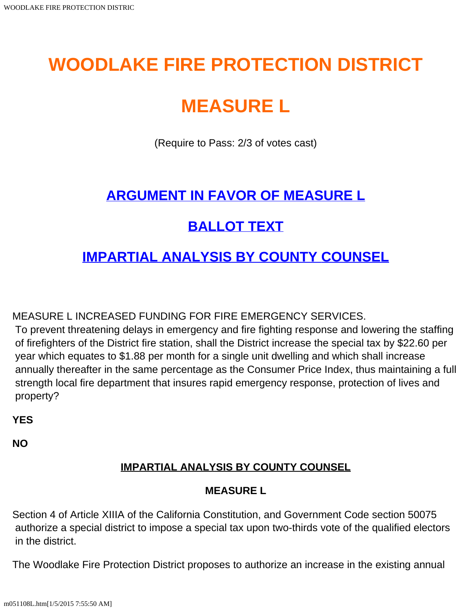# **WOODLAKE FIRE PROTECTION DISTRICT**

# **MEASURE L**

(Require to Pass: 2/3 of votes cast)

## **[ARGUMENT IN FAVOR OF MEASURE L](#page-1-0)**

## **[BALLOT TEXT](#page-0-0)**

### **[IMPARTIAL ANALYSIS BY COUNTY COUNSEL](#page-0-1)**

<span id="page-0-0"></span>MEASURE L INCREASED FUNDING FOR FIRE EMERGENCY SERVICES.

To prevent threatening delays in emergency and fire fighting response and lowering the staffing of firefighters of the District fire station, shall the District increase the special tax by \$22.60 per year which equates to \$1.88 per month for a single unit dwelling and which shall increase annually thereafter in the same percentage as the Consumer Price Index, thus maintaining a full strength local fire department that insures rapid emergency response, protection of lives and property?

**YES**

<span id="page-0-1"></span>**NO**

### **IMPARTIAL ANALYSIS BY COUNTY COUNSEL**

#### **MEASURE L**

Section 4 of Article XIIIA of the California Constitution, and Government Code section 50075 authorize a special district to impose a special tax upon two-thirds vote of the qualified electors in the district.

The Woodlake Fire Protection District proposes to authorize an increase in the existing annual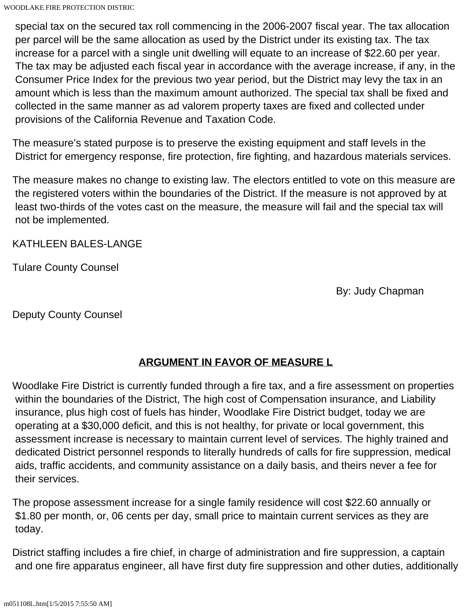WOODLAKE FIRE PROTECTION DISTRIC

 special tax on the secured tax roll commencing in the 2006-2007 fiscal year. The tax allocation per parcel will be the same allocation as used by the District under its existing tax. The tax increase for a parcel with a single unit dwelling will equate to an increase of \$22.60 per year. The tax may be adjusted each fiscal year in accordance with the average increase, if any, in the Consumer Price Index for the previous two year period, but the District may levy the tax in an amount which is less than the maximum amount authorized. The special tax shall be fixed and collected in the same manner as ad valorem property taxes are fixed and collected under provisions of the California Revenue and Taxation Code.

The measure's stated purpose is to preserve the existing equipment and staff levels in the District for emergency response, fire protection, fire fighting, and hazardous materials services.

The measure makes no change to existing law. The electors entitled to vote on this measure are the registered voters within the boundaries of the District. If the measure is not approved by at least two-thirds of the votes cast on the measure, the measure will fail and the special tax will not be implemented.

KATHLEEN BALES-LANGE

Tulare County Counsel

By: Judy Chapman

Deputy County Counsel

#### **ARGUMENT IN FAVOR OF MEASURE L**

<span id="page-1-0"></span>Woodlake Fire District is currently funded through a fire tax, and a fire assessment on properties within the boundaries of the District, The high cost of Compensation insurance, and Liability insurance, plus high cost of fuels has hinder, Woodlake Fire District budget, today we are operating at a \$30,000 deficit, and this is not healthy, for private or local government, this assessment increase is necessary to maintain current level of services. The highly trained and dedicated District personnel responds to literally hundreds of calls for fire suppression, medical aids, traffic accidents, and community assistance on a daily basis, and theirs never a fee for their services.

The propose assessment increase for a single family residence will cost \$22.60 annually or \$1.80 per month, or, 06 cents per day, small price to maintain current services as they are today.

District staffing includes a fire chief, in charge of administration and fire suppression, a captain and one fire apparatus engineer, all have first duty fire suppression and other duties, additionally